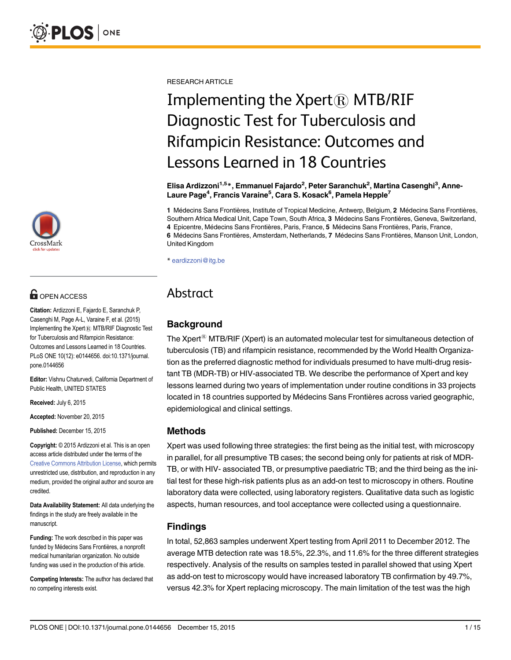

# **G** OPEN ACCESS

Citation: Ardizzoni E, Fajardo E, Saranchuk P, Casenghi M, Page A-L, Varaine F, et al. (2015) Implementing the Xpert $\circledR$  MTB/RIF Diagnostic Test for Tuberculosis and Rifampicin Resistance: Outcomes and Lessons Learned in 18 Countries. PLoS ONE 10(12): e0144656. doi:10.1371/journal. pone.0144656

Editor: Vishnu Chaturvedi, California Department of Public Health, UNITED STATES

Received: July 6, 2015

Accepted: November 20, 2015

Published: December 15, 2015

Copyright: © 2015 Ardizzoni et al. This is an open access article distributed under the terms of the [Creative Commons Attribution License,](http://creativecommons.org/licenses/by/4.0/) which permits unrestricted use, distribution, and reproduction in any medium, provided the original author and source are credited.

Data Availability Statement: All data underlying the findings in the study are freely available in the manuscript.

Funding: The work described in this paper was funded by Médecins Sans Frontières, a nonprofit medical humanitarian organization. No outside funding was used in the production of this article.

Competing Interests: The author has declared that no competing interests exist.

RESEARCH ARTICLE

# Implementing the  $X$ pert $\mathbb R$  MTB/RIF Diagnostic Test for Tuberculosis and Rifampicin Resistance: Outcomes and Lessons Learned in 18 Countries

Elisa Ardizzoni<sup>1,5</sup>\*, Emmanuel Fajardo<sup>2</sup>, Peter Saranchuk<sup>2</sup>, Martina Casenghi<sup>3</sup>, Anne-Laure Page<sup>4</sup>, Francis Varaine<sup>5</sup>, Cara S. Kosack<sup>6</sup>, Pamela Hepple<sup>7</sup>

1 Médecins Sans Frontières, Institute of Tropical Medicine, Antwerp, Belgium, 2 Médecins Sans Frontières, Southern Africa Medical Unit, Cape Town, South Africa, 3 Médecins Sans Frontières, Geneva, Switzerland, 4 Epicentre, Médecins Sans Frontières, Paris, France, 5 Médecins Sans Frontières, Paris, France, 6 Médecins Sans Frontières, Amsterdam, Netherlands, 7 Médecins Sans Frontières, Manson Unit, London, United Kingdom

\* eardizzoni@itg.be

# Abstract

# **Background**

The Xpert<sup>®</sup> MTB/RIF (Xpert) is an automated molecular test for simultaneous detection of tuberculosis (TB) and rifampicin resistance, recommended by the World Health Organization as the preferred diagnostic method for individuals presumed to have multi-drug resistant TB (MDR-TB) or HIV-associated TB. We describe the performance of Xpert and key lessons learned during two years of implementation under routine conditions in 33 projects located in 18 countries supported by Médecins Sans Frontières across varied geographic, epidemiological and clinical settings.

# Methods

Xpert was used following three strategies: the first being as the initial test, with microscopy in parallel, for all presumptive TB cases; the second being only for patients at risk of MDR-TB, or with HIV- associated TB, or presumptive paediatric TB; and the third being as the initial test for these high-risk patients plus as an add-on test to microscopy in others. Routine laboratory data were collected, using laboratory registers. Qualitative data such as logistic aspects, human resources, and tool acceptance were collected using a questionnaire.

# Findings

In total, 52,863 samples underwent Xpert testing from April 2011 to December 2012. The average MTB detection rate was 18.5%, 22.3%, and 11.6% for the three different strategies respectively. Analysis of the results on samples tested in parallel showed that using Xpert as add-on test to microscopy would have increased laboratory TB confirmation by 49.7%, versus 42.3% for Xpert replacing microscopy. The main limitation of the test was the high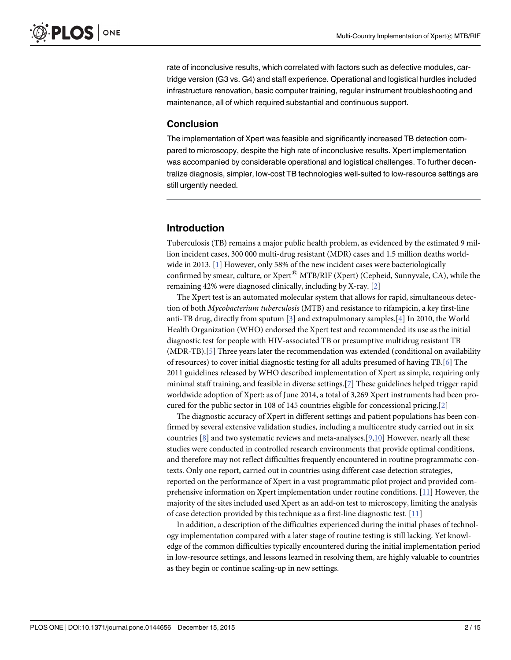<span id="page-1-0"></span>rate of inconclusive results, which correlated with factors such as defective modules, cartridge version (G3 vs. G4) and staff experience. Operational and logistical hurdles included infrastructure renovation, basic computer training, regular instrument troubleshooting and maintenance, all of which required substantial and continuous support.

### Conclusion

The implementation of Xpert was feasible and significantly increased TB detection compared to microscopy, despite the high rate of inconclusive results. Xpert implementation was accompanied by considerable operational and logistical challenges. To further decentralize diagnosis, simpler, low-cost TB technologies well-suited to low-resource settings are still urgently needed.

# Introduction

Tuberculosis (TB) remains a major public health problem, as evidenced by the estimated 9 million incident cases, 300 000 multi-drug resistant (MDR) cases and 1.5 million deaths worldwide in 2013. [\[1\]](#page-13-0) However, only 58% of the new incident cases were bacteriologically confirmed by smear, culture, or  $Xpert^{\tiny{\textregistered}}$  MTB/RIF (Xpert) (Cepheid, Sunnyvale, CA), while the remaining 42% were diagnosed clinically, including by X-ray. [[2\]](#page-13-0)

The Xpert test is an automated molecular system that allows for rapid, simultaneous detection of both Mycobacterium tuberculosis (MTB) and resistance to rifampicin, a key first-line anti-TB drug, directly from sputum [\[3](#page-13-0)] and extrapulmonary samples.[[4](#page-13-0)] In 2010, the World Health Organization (WHO) endorsed the Xpert test and recommended its use as the initial diagnostic test for people with HIV-associated TB or presumptive multidrug resistant TB (MDR-TB).[\[5](#page-13-0)] Three years later the recommendation was extended (conditional on availability of resources) to cover initial diagnostic testing for all adults presumed of having TB.[[6\]](#page-13-0) The 2011 guidelines released by WHO described implementation of Xpert as simple, requiring only minimal staff training, and feasible in diverse settings.[\[7](#page-13-0)] These guidelines helped trigger rapid worldwide adoption of Xpert: as of June 2014, a total of 3,269 Xpert instruments had been procured for the public sector in 108 of 145 countries eligible for concessional pricing.[[2\]](#page-13-0)

The diagnostic accuracy of Xpert in different settings and patient populations has been confirmed by several extensive validation studies, including a multicentre study carried out in six countries [[8](#page-14-0)] and two systematic reviews and meta-analyses.[\[9,10](#page-14-0)] However, nearly all these studies were conducted in controlled research environments that provide optimal conditions, and therefore may not reflect difficulties frequently encountered in routine programmatic contexts. Only one report, carried out in countries using different case detection strategies, reported on the performance of Xpert in a vast programmatic pilot project and provided comprehensive information on Xpert implementation under routine conditions. [\[11\]](#page-14-0) However, the majority of the sites included used Xpert as an add-on test to microscopy, limiting the analysis of case detection provided by this technique as a first-line diagnostic test.  $[11]$ 

In addition, a description of the difficulties experienced during the initial phases of technology implementation compared with a later stage of routine testing is still lacking. Yet knowledge of the common difficulties typically encountered during the initial implementation period in low-resource settings, and lessons learned in resolving them, are highly valuable to countries as they begin or continue scaling-up in new settings.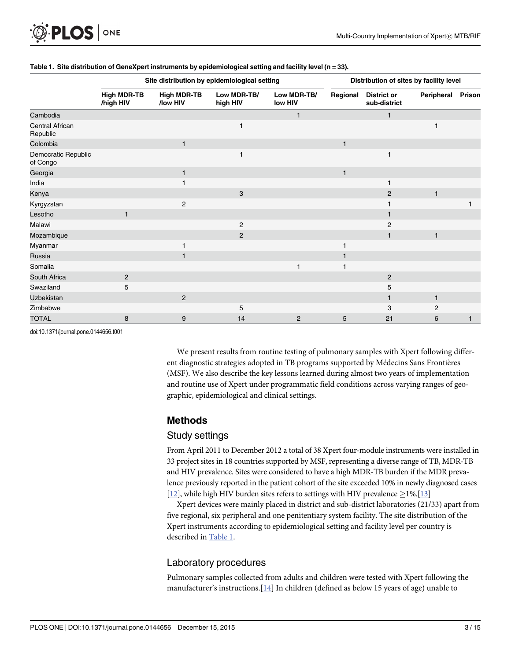<span id="page-2-0"></span>

| <b>OF PLOS</b> ONE |  |
|--------------------|--|
|--------------------|--|

|                                    | Site distribution by epidemiological setting |                                |                         |                        | Distribution of sites by facility level |                                    |              |        |
|------------------------------------|----------------------------------------------|--------------------------------|-------------------------|------------------------|-----------------------------------------|------------------------------------|--------------|--------|
|                                    | <b>High MDR-TB</b><br>/high HIV              | <b>High MDR-TB</b><br>/low HIV | Low MDR-TB/<br>high HIV | Low MDR-TB/<br>low HIV | Regional                                | <b>District or</b><br>sub-district | Peripheral   | Prison |
| Cambodia                           |                                              |                                |                         | $\mathbf{1}$           |                                         | $\mathbf{1}$                       |              |        |
| <b>Central African</b><br>Republic |                                              |                                | $\mathbf{1}$            |                        |                                         |                                    | $\mathbf{1}$ |        |
| Colombia                           |                                              | $\mathbf{1}$                   |                         |                        | $\mathbf{1}$                            |                                    |              |        |
| Democratic Republic<br>of Congo    |                                              |                                | 1                       |                        |                                         | 1                                  |              |        |
| Georgia                            |                                              | $\mathbf{1}$                   |                         |                        | $\mathbf{1}$                            |                                    |              |        |
| India                              |                                              |                                |                         |                        |                                         | 1                                  |              |        |
| Kenya                              |                                              |                                | 3                       |                        |                                         | $\overline{2}$                     | $\mathbf{1}$ |        |
| Kyrgyzstan                         |                                              | $\overline{c}$                 |                         |                        |                                         |                                    |              |        |
| Lesotho                            | $\mathbf{1}$                                 |                                |                         |                        |                                         |                                    |              |        |
| Malawi                             |                                              |                                | $\overline{2}$          |                        |                                         | 2                                  |              |        |
| Mozambique                         |                                              |                                | 2                       |                        |                                         | 1                                  | $\mathbf{1}$ |        |
| Myanmar                            |                                              |                                |                         |                        |                                         |                                    |              |        |
| Russia                             |                                              | 1                              |                         |                        |                                         |                                    |              |        |
| Somalia                            |                                              |                                |                         |                        |                                         |                                    |              |        |
| South Africa                       | $\overline{2}$                               |                                |                         |                        |                                         | $\overline{2}$                     |              |        |
| Swaziland                          | 5                                            |                                |                         |                        |                                         | 5                                  |              |        |
| Uzbekistan                         |                                              | $\overline{2}$                 |                         |                        |                                         | 1                                  | $\mathbf{1}$ |        |
| Zimbabwe                           |                                              |                                | 5                       |                        |                                         | 3                                  | 2            |        |
| <b>TOTAL</b>                       | 8                                            | 9                              | 14                      | $\overline{2}$         | 5                                       | 21                                 | 6            |        |

#### Table 1. Site distribution of GeneXpert instruments by epidemiological setting and facility level (n = 33).

doi:10.1371/journal.pone.0144656.t001

We present results from routine testing of pulmonary samples with Xpert following different diagnostic strategies adopted in TB programs supported by Médecins Sans Frontières (MSF). We also describe the key lessons learned during almost two years of implementation and routine use of Xpert under programmatic field conditions across varying ranges of geographic, epidemiological and clinical settings.

# Methods

# Study settings

From April 2011 to December 2012 a total of 38 Xpert four-module instruments were installed in 33 project sites in 18 countries supported by MSF, representing a diverse range of TB, MDR-TB and HIV prevalence. Sites were considered to have a high MDR-TB burden if the MDR prevalence previously reported in the patient cohort of the site exceeded 10% in newly diagnosed cases [\[12\]](#page-14-0), while high HIV burden sites refers to settings with HIV prevalence  $\geq$  1%.[[13\]](#page-14-0)

Xpert devices were mainly placed in district and sub-district laboratories (21/33) apart from five regional, six peripheral and one penitentiary system facility. The site distribution of the Xpert instruments according to epidemiological setting and facility level per country is described in Table 1.

# Laboratory procedures

Pulmonary samples collected from adults and children were tested with Xpert following the manufacturer's instructions.[\[14](#page-14-0)] In children (defined as below 15 years of age) unable to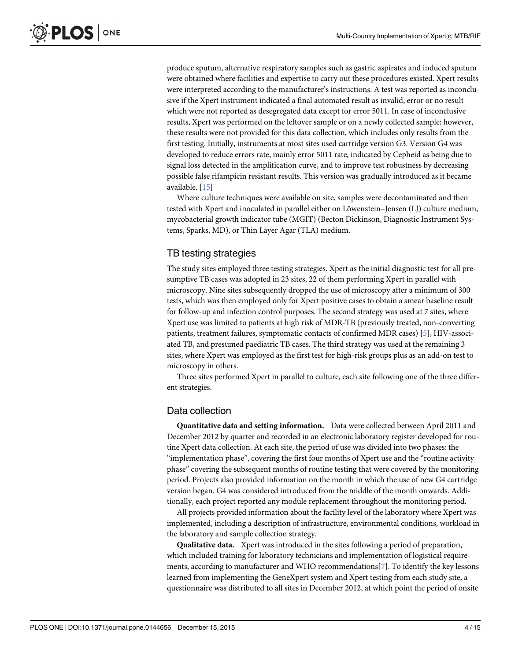<span id="page-3-0"></span>produce sputum, alternative respiratory samples such as gastric aspirates and induced sputum were obtained where facilities and expertise to carry out these procedures existed. Xpert results were interpreted according to the manufacturer's instructions. A test was reported as inconclusive if the Xpert instrument indicated a final automated result as invalid, error or no result which were not reported as desegregated data except for error 5011. In case of inconclusive results, Xpert was performed on the leftover sample or on a newly collected sample; however, these results were not provided for this data collection, which includes only results from the first testing. Initially, instruments at most sites used cartridge version G3. Version G4 was developed to reduce errors rate, mainly error 5011 rate, indicated by Cepheid as being due to signal loss detected in the amplification curve, and to improve test robustness by decreasing possible false rifampicin resistant results. This version was gradually introduced as it became available. [\[15\]](#page-14-0)

Where culture techniques were available on site, samples were decontaminated and then tested with Xpert and inoculated in parallel either on Löwenstein–Jensen (LJ) culture medium, mycobacterial growth indicator tube (MGIT) (Becton Dickinson, Diagnostic Instrument Systems, Sparks, MD), or Thin Layer Agar (TLA) medium.

# TB testing strategies

The study sites employed three testing strategies. Xpert as the initial diagnostic test for all presumptive TB cases was adopted in 23 sites, 22 of them performing Xpert in parallel with microscopy. Nine sites subsequently dropped the use of microscopy after a minimum of 300 tests, which was then employed only for Xpert positive cases to obtain a smear baseline result for follow-up and infection control purposes. The second strategy was used at 7 sites, where Xpert use was limited to patients at high risk of MDR-TB (previously treated, non-converting patients, treatment failures, symptomatic contacts of confirmed MDR cases) [[5\]](#page-13-0), HIV-associated TB, and presumed paediatric TB cases. The third strategy was used at the remaining 3 sites, where Xpert was employed as the first test for high-risk groups plus as an add-on test to microscopy in others.

Three sites performed Xpert in parallel to culture, each site following one of the three different strategies.

# Data collection

Quantitative data and setting information. Data were collected between April 2011 and December 2012 by quarter and recorded in an electronic laboratory register developed for routine Xpert data collection. At each site, the period of use was divided into two phases: the "implementation phase", covering the first four months of Xpert use and the "routine activity phase" covering the subsequent months of routine testing that were covered by the monitoring period. Projects also provided information on the month in which the use of new G4 cartridge version began. G4 was considered introduced from the middle of the month onwards. Additionally, each project reported any module replacement throughout the monitoring period.

All projects provided information about the facility level of the laboratory where Xpert was implemented, including a description of infrastructure, environmental conditions, workload in the laboratory and sample collection strategy.

Qualitative data. Xpert was introduced in the sites following a period of preparation, which included training for laboratory technicians and implementation of logistical requirements, according to manufacturer and WHO recommendations[[7](#page-13-0)]. To identify the key lessons learned from implementing the GeneXpert system and Xpert testing from each study site, a questionnaire was distributed to all sites in December 2012, at which point the period of onsite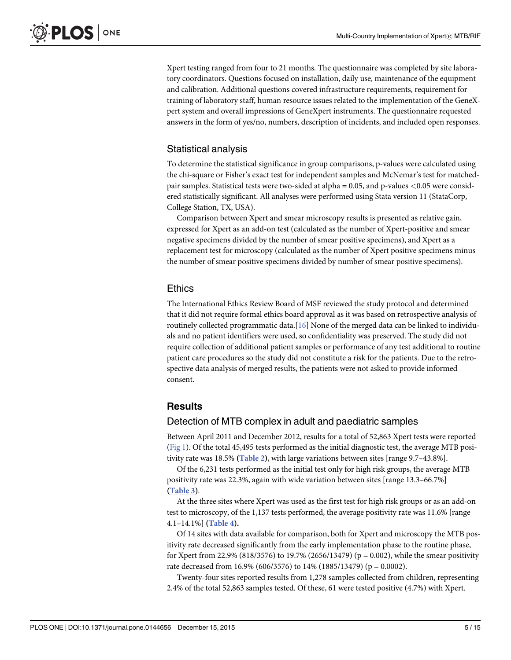<span id="page-4-0"></span>Xpert testing ranged from four to 21 months. The questionnaire was completed by site laboratory coordinators. Questions focused on installation, daily use, maintenance of the equipment and calibration. Additional questions covered infrastructure requirements, requirement for training of laboratory staff, human resource issues related to the implementation of the GeneXpert system and overall impressions of GeneXpert instruments. The questionnaire requested answers in the form of yes/no, numbers, description of incidents, and included open responses.

# Statistical analysis

To determine the statistical significance in group comparisons, p-values were calculated using the chi-square or Fisher's exact test for independent samples and McNemar's test for matchedpair samples. Statistical tests were two-sided at alpha =  $0.05$ , and p-values <0.05 were considered statistically significant. All analyses were performed using Stata version 11 (StataCorp, College Station, TX, USA).

Comparison between Xpert and smear microscopy results is presented as relative gain, expressed for Xpert as an add-on test (calculated as the number of Xpert-positive and smear negative specimens divided by the number of smear positive specimens), and Xpert as a replacement test for microscopy (calculated as the number of Xpert positive specimens minus the number of smear positive specimens divided by number of smear positive specimens).

# **Ethics**

The International Ethics Review Board of MSF reviewed the study protocol and determined that it did not require formal ethics board approval as it was based on retrospective analysis of routinely collected programmatic data. $[16]$  None of the merged data can be linked to individuals and no patient identifiers were used, so confidentiality was preserved. The study did not require collection of additional patient samples or performance of any test additional to routine patient care procedures so the study did not constitute a risk for the patients. Due to the retrospective data analysis of merged results, the patients were not asked to provide informed consent.

# **Results**

# Detection of MTB complex in adult and paediatric samples

Between April 2011 and December 2012, results for a total of 52,863 Xpert tests were reported [\(Fig 1\)](#page-5-0). Of the total 45,495 tests performed as the initial diagnostic test, the average MTB posi-tivity rate was 18.5% ([Table 2](#page-5-0)), with large variations between sites [range 9.7-43.8%].

Of the 6,231 tests performed as the initial test only for high risk groups, the average MTB positivity rate was 22.3%, again with wide variation between sites [range 13.3–66.7%] [\(Table 3\)](#page-6-0).

At the three sites where Xpert was used as the first test for high risk groups or as an add-on test to microscopy, of the 1,137 tests performed, the average positivity rate was 11.6% [range 4.1–14.1%] [\(Table 4\)](#page-6-0).

Of 14 sites with data available for comparison, both for Xpert and microscopy the MTB positivity rate decreased significantly from the early implementation phase to the routine phase, for Xpert from 22.9% (818/3576) to 19.7% (2656/13479) ( $p = 0.002$ ), while the smear positivity rate decreased from 16.9% (606/3576) to 14% (1885/13479) (p = 0.0002).

Twenty-four sites reported results from 1,278 samples collected from children, representing 2.4% of the total 52,863 samples tested. Of these, 61 were tested positive (4.7%) with Xpert.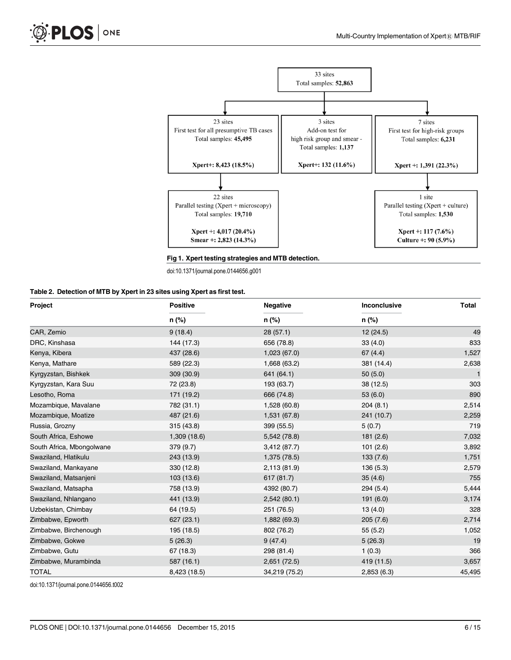<span id="page-5-0"></span>



[Fig 1. X](#page-4-0)pert testing strategies and MTB detection.

doi:10.1371/journal.pone.0144656.g001

#### [Table 2.](#page-4-0) Detection of MTB by Xpert in 23 sites using Xpert as first test.

| Project                   | <b>Positive</b> | <b>Negative</b> | Inconclusive | <b>Total</b> |
|---------------------------|-----------------|-----------------|--------------|--------------|
|                           | n (%)           | n (%)           | n (%)        |              |
| CAR, Zemio                | 9(18.4)         | 28(57.1)        | 12(24.5)     | 49           |
| DRC, Kinshasa             | 144 (17.3)      | 656 (78.8)      | 33(4.0)      | 833          |
| Kenya, Kibera             | 437 (28.6)      | 1,023(67.0)     | 67(4.4)      | 1,527        |
| Kenya, Mathare            | 589 (22.3)      | 1,668 (63.2)    | 381 (14.4)   | 2,638        |
| Kyrgyzstan, Bishkek       | 309(30.9)       | 641 (64.1)      | 50(5.0)      | $\mathbf{1}$ |
| Kyrgyzstan, Kara Suu      | 72 (23.8)       | 193 (63.7)      | 38 (12.5)    | 303          |
| Lesotho, Roma             | 171 (19.2)      | 666 (74.8)      | 53(6.0)      | 890          |
| Mozambique, Mavalane      | 782 (31.1)      | 1,528 (60.8)    | 204(8.1)     | 2,514        |
| Mozambique, Moatize       | 487 (21.6)      | 1,531 (67.8)    | 241 (10.7)   | 2,259        |
| Russia, Grozny            | 315(43.8)       | 399 (55.5)      | 5(0.7)       | 719          |
| South Africa, Eshowe      | 1,309 (18.6)    | 5,542 (78.8)    | 181(2.6)     | 7,032        |
| South Africa, Mbongolwane | 379 (9.7)       | 3,412 (87.7)    | 101(2.6)     | 3,892        |
| Swaziland, Hlatikulu      | 243 (13.9)      | 1,375 (78.5)    | 133(7.6)     | 1,751        |
| Swaziland, Mankayane      | 330 (12.8)      | 2,113(81.9)     | 136(5.3)     | 2,579        |
| Swaziland, Matsanjeni     | 103 (13.6)      | 617 (81.7)      | 35(4.6)      | 755          |
| Swaziland, Matsapha       | 758 (13.9)      | 4392 (80.7)     | 294 (5.4)    | 5,444        |
| Swaziland, Nhlangano      | 441 (13.9)      | 2,542(80.1)     | 191(6.0)     | 3,174        |
| Uzbekistan, Chimbay       | 64 (19.5)       | 251 (76.5)      | 13(4.0)      | 328          |
| Zimbabwe, Epworth         | 627 (23.1)      | 1,882(69.3)     | 205(7.6)     | 2,714        |
| Zimbabwe, Birchenough     | 195 (18.5)      | 802 (76.2)      | 55(5.2)      | 1,052        |
| Zimbabwe, Gokwe           | 5(26.3)         | 9(47.4)         | 5(26.3)      | 19           |
| Zimbabwe, Gutu            | 67 (18.3)       | 298 (81.4)      | 1(0.3)       | 366          |
| Zimbabwe, Murambinda      | 587 (16.1)      | 2,651(72.5)     | 419 (11.5)   | 3,657        |
| <b>TOTAL</b>              | 8,423 (18.5)    | 34,219 (75.2)   | 2,853(6.3)   | 45,495       |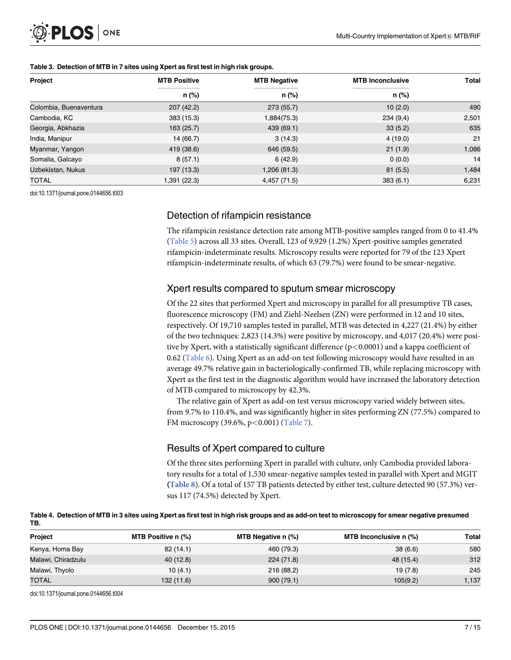<span id="page-6-0"></span>

| Project                | <b>MTB Positive</b> | <b>MTB Negative</b> | <b>MTB Inconclusive</b> | <b>Total</b> |
|------------------------|---------------------|---------------------|-------------------------|--------------|
|                        | n (%)               | n (%)               | n (%)                   |              |
| Colombia, Buenaventura | 207 (42.2)          | 273 (55.7)          | 10(2.0)                 | 490          |
| Cambodia, KC           | 383 (15.3)          | 1,884(75.3)         | 234(9,4)                | 2,501        |
| Georgia, Abkhazia      | 163 (25.7)          | 439 (69.1)          | 33(5.2)                 | 635          |
| India, Manipur         | 14 (66.7)           | 3(14.3)             | 4 (19.0)                | 21           |
| Myanmar, Yangon        | 419 (38.6)          | 646 (59.5)          | 21(1.9)                 | 1,086        |
| Somalia, Galcayo       | 8(57.1)             | 6(42.9)             | 0(0.0)                  | 14           |
| Uzbekistan, Nukus      | 197 (13.3)          | 1,206 (81.3)        | 81(5.5)                 | 1,484        |
| <b>TOTAL</b>           | 1,391 (22.3)        | 4,457 (71.5)        | 383(6.1)                | 6,231        |

#### [Table 3.](#page-4-0) Detection of MTB in 7 sites using Xpert as first test in high risk groups.

doi:10.1371/journal.pone.0144656.t003

# Detection of rifampicin resistance

The rifampicin resistance detection rate among MTB-positive samples ranged from 0 to 41.4% [\(Table 5\)](#page-7-0) across all 33 sites. Overall, 123 of 9,929 (1.2%) Xpert-positive samples generated rifampicin-indeterminate results. Microscopy results were reported for 79 of the 123 Xpert rifampicin-indeterminate results, of which 63 (79.7%) were found to be smear-negative.

# Xpert results compared to sputum smear microscopy

Of the 22 sites that performed Xpert and microscopy in parallel for all presumptive TB cases, fluorescence microscopy (FM) and Ziehl-Neelsen (ZN) were performed in 12 and 10 sites, respectively. Of 19,710 samples tested in parallel, MTB was detected in 4,227 (21.4%) by either of the two techniques: 2,823 (14.3%) were positive by microscopy, and 4,017 (20.4%) were positive by Xpert, with a statistically significant difference  $(p<0.0001)$  and a kappa coefficient of 0.62 [\(Table 6](#page-7-0)). Using Xpert as an add-on test following microscopy would have resulted in an average 49.7% relative gain in bacteriologically-confirmed TB, while replacing microscopy with Xpert as the first test in the diagnostic algorithm would have increased the laboratory detection of MTB compared to microscopy by 42.3%.

The relative gain of Xpert as add-on test versus microscopy varied widely between sites, from 9.7% to 110.4%, and was significantly higher in sites performing ZN (77.5%) compared to FM microscopy (39.6%, p<0.001) ([Table 7](#page-8-0)).

# Results of Xpert compared to culture

Of the three sites performing Xpert in parallel with culture, only Cambodia provided laboratory results for a total of 1,530 smear-negative samples tested in parallel with Xpert and MGIT [\(Table 8](#page-8-0)). Of a total of 157 TB patients detected by either test, culture detected 90 (57.3%) versus 117 (74.5%) detected by Xpert.

|    | Table 4. Detection of MTB in 3 sites using Xpert as first test in high risk groups and as add-on test to microscopy for smear negative presumed |
|----|-------------------------------------------------------------------------------------------------------------------------------------------------|
| тв |                                                                                                                                                 |

| <b>Project</b>     | MTB Positive n (%) | MTB Negative n (%) | MTB Inconclusive $n$ $%$ ) | Total |
|--------------------|--------------------|--------------------|----------------------------|-------|
| Kenya, Homa Bay    | 82(14.1)           | 460 (79.3)         | 38(6.6)                    | 580   |
| Malawi, Chiradzulu | 40 (12.8)          | 224 (71.8)         | 48 (15.4)                  | 312   |
| Malawi, Thyolo     | 10(4.1)            | 216 (88.2)         | 19(7.8)                    | 245   |
| <b>TOTAL</b>       | 132 (11.6)         | 900(79.1)          | 105(9.2)                   | 1,137 |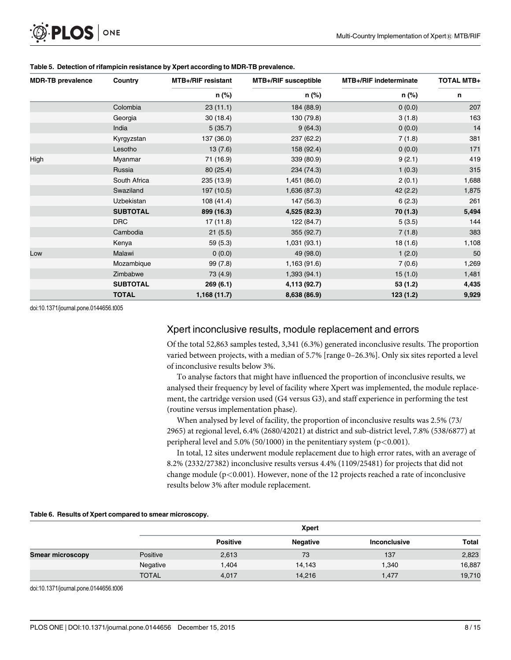<span id="page-7-0"></span>

| <b>MDR-TB prevalence</b> | Country         | <b>MTB+/RIF resistant</b> | MTB+/RIF susceptible | <b>MTB+/RIF indeterminate</b> | <b>TOTAL MTB+</b> |
|--------------------------|-----------------|---------------------------|----------------------|-------------------------------|-------------------|
|                          |                 | n (%)                     | n (%)                | n (%)                         | n                 |
|                          | Colombia        | 23(11.1)                  | 184 (88.9)           | 0(0.0)                        | 207               |
|                          | Georgia         | 30(18.4)                  | 130 (79.8)           | 3(1.8)                        | 163               |
|                          | India           | 5(35.7)                   | 9(64.3)              | 0(0.0)                        | 14                |
|                          | Kyrgyzstan      | 137 (36.0)                | 237 (62.2)           | 7(1.8)                        | 381               |
|                          | Lesotho         | 13(7.6)                   | 158 (92.4)           | 0(0.0)                        | 171               |
| High                     | Myanmar         | 71 (16.9)                 | 339 (80.9)           | 9(2.1)                        | 419               |
|                          | Russia          | 80(25.4)                  | 234 (74.3)           | 1(0.3)                        | 315               |
|                          | South Africa    | 235 (13.9)                | 1,451(86.0)          | 2(0.1)                        | 1,688             |
|                          | Swaziland       | 197 (10.5)                | 1,636 (87.3)         | 42 (2.2)                      | 1,875             |
|                          | Uzbekistan      | 108(41.4)                 | 147 (56.3)           | 6(2.3)                        | 261               |
|                          | <b>SUBTOTAL</b> | 899 (16.3)                | 4,525 (82.3)         | 70(1.3)                       | 5,494             |
|                          | <b>DRC</b>      | 17(11.8)                  | 122 (84.7)           | 5(3.5)                        | 144               |
|                          | Cambodia        | 21(5.5)                   | 355 (92.7)           | 7(1.8)                        | 383               |
|                          | Kenya           | 59 (5.3)                  | 1,031(93.1)          | 18(1.6)                       | 1,108             |
| Low                      | Malawi          | 0(0.0)                    | 49 (98.0)            | 1(2.0)                        | 50                |
|                          | Mozambique      | 99(7.8)                   | 1,163 (91.6)         | 7(0.6)                        | 1,269             |
|                          | Zimbabwe        | 73 (4.9)                  | 1,393(94.1)          | 15(1.0)                       | 1,481             |
|                          | <b>SUBTOTAL</b> | 269(6.1)                  | 4,113 (92.7)         | 53 (1.2)                      | 4,435             |
|                          | <b>TOTAL</b>    | 1,168 (11.7)              | 8,638 (86.9)         | 123(1.2)                      | 9,929             |

#### [Table 5.](#page-6-0) Detection of rifampicin resistance by Xpert according to MDR-TB prevalence.

doi:10.1371/journal.pone.0144656.t005

# Xpert inconclusive results, module replacement and errors

Of the total 52,863 samples tested, 3,341 (6.3%) generated inconclusive results. The proportion varied between projects, with a median of 5.7% [range 0–26.3%]. Only six sites reported a level of inconclusive results below 3%.

To analyse factors that might have influenced the proportion of inconclusive results, we analysed their frequency by level of facility where Xpert was implemented, the module replacement, the cartridge version used (G4 versus G3), and staff experience in performing the test (routine versus implementation phase).

When analysed by level of facility, the proportion of inconclusive results was 2.5% (73/ 2965) at regional level, 6.4% (2680/42021) at district and sub-district level, 7.8% (538/6877) at peripheral level and  $5.0\%$  (50/1000) in the penitentiary system (p<0.001).

In total, 12 sites underwent module replacement due to high error rates, with an average of 8.2% (2332/27382) inconclusive results versus 4.4% (1109/25481) for projects that did not change module  $(p<0.001)$ . However, none of the 12 projects reached a rate of inconclusive results below 3% after module replacement.

#### [Table 6.](#page-6-0) Results of Xpert compared to smear microscopy.

|                  |              | <b>Xpert</b>    |                 |                     |        |
|------------------|--------------|-----------------|-----------------|---------------------|--------|
|                  |              | <b>Positive</b> | <b>Negative</b> | <b>Inconclusive</b> | Total  |
| Smear microscopy | Positive     | 2,613           | 73              | 137                 | 2,823  |
|                  | Negative     | 1,404           | 14,143          | 1,340               | 16,887 |
|                  | <b>TOTAL</b> | 4,017           | 14,216          | 1,477               | 19,710 |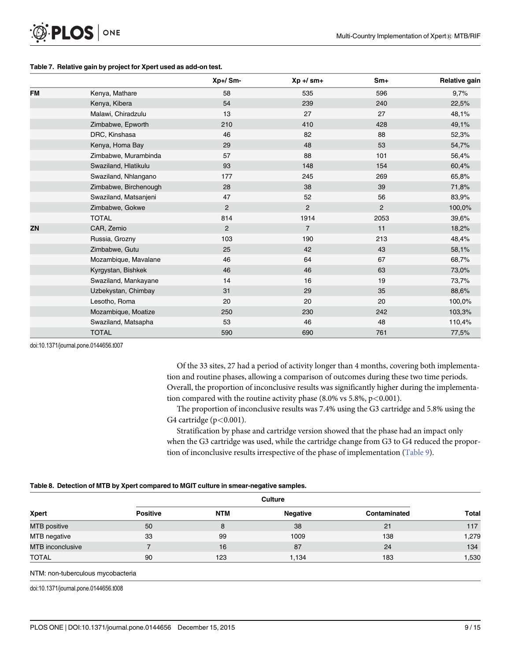#### <span id="page-8-0"></span>[Table 7.](#page-6-0) Relative gain by project for Xpert used as add-on test.

|           |                       | $Xp+/Sm-$      | $Xp + / sm+$   | $Sm+$          | Relative gain |
|-----------|-----------------------|----------------|----------------|----------------|---------------|
| <b>FM</b> | Kenya, Mathare        | 58             | 535            | 596            | 9,7%          |
|           | Kenya, Kibera         | 54             | 239            | 240            | 22,5%         |
|           | Malawi, Chiradzulu    | 13             | 27             | 27             | 48,1%         |
|           | Zimbabwe, Epworth     | 210            | 410            | 428            | 49,1%         |
|           | DRC, Kinshasa         | 46             | 82             | 88             | 52,3%         |
|           | Kenya, Homa Bay       | 29             | 48             | 53             | 54,7%         |
|           | Zimbabwe, Murambinda  | 57             | 88             | 101            | 56,4%         |
|           | Swaziland, Hlatikulu  | 93             | 148            | 154            | 60,4%         |
|           | Swaziland, Nhlangano  | 177            | 245            | 269            | 65,8%         |
|           | Zimbabwe, Birchenough | 28             | 38             | 39             | 71,8%         |
|           | Swaziland, Matsanjeni | 47             | 52             | 56             | 83,9%         |
|           | Zimbabwe, Gokwe       | $\overline{2}$ | $\overline{2}$ | $\overline{2}$ | 100,0%        |
|           | <b>TOTAL</b>          | 814            | 1914           | 2053           | 39,6%         |
| ZN        | CAR, Zemio            | $\mathbf{2}$   | $\overline{7}$ | 11             | 18,2%         |
|           | Russia, Grozny        | 103            | 190            | 213            | 48,4%         |
|           | Zimbabwe, Gutu        | 25             | 42             | 43             | 58,1%         |
|           | Mozambique, Mavalane  | 46             | 64             | 67             | 68,7%         |
|           | Kyrgystan, Bishkek    | 46             | 46             | 63             | 73,0%         |
|           | Swaziland, Mankayane  | 14             | 16             | 19             | 73,7%         |
|           | Uzbekystan, Chimbay   | 31             | 29             | 35             | 88,6%         |
|           | Lesotho, Roma         | 20             | 20             | 20             | 100,0%        |
|           | Mozambique, Moatize   | 250            | 230            | 242            | 103,3%        |
|           | Swaziland, Matsapha   | 53             | 46             | 48             | 110,4%        |
|           | <b>TOTAL</b>          | 590            | 690            | 761            | 77,5%         |

doi:10.1371/journal.pone.0144656.t007

Of the 33 sites, 27 had a period of activity longer than 4 months, covering both implementation and routine phases, allowing a comparison of outcomes during these two time periods. Overall, the proportion of inconclusive results was significantly higher during the implementation compared with the routine activity phase (8.0% vs 5.8%, p<0.001).

The proportion of inconclusive results was 7.4% using the G3 cartridge and 5.8% using the G4 cartridge ( $p < 0.001$ ).

Stratification by phase and cartridge version showed that the phase had an impact only when the G3 cartridge was used, while the cartridge change from G3 to G4 reduced the proportion of inconclusive results irrespective of the phase of implementation [\(Table 9\)](#page-9-0).

#### [Table 8.](#page-6-0) Detection of MTB by Xpert compared to MGIT culture in smear-negative samples.

|                         | Culture         |            |                 |              |       |
|-------------------------|-----------------|------------|-----------------|--------------|-------|
| <b>Xpert</b>            | <b>Positive</b> | <b>NTM</b> | <b>Negative</b> | Contaminated | Total |
| <b>MTB</b> positive     | 50              | 8          | 38              | 21           | 117   |
| MTB negative            | 33              | 99         | 1009            | 138          | 1,279 |
| <b>MTB</b> inconclusive |                 | 16         | 87              | 24           | 134   |
| <b>TOTAL</b>            | 90              | 123        | 1,134           | 183          | 1,530 |

#### NTM: non-tuberculous mycobacteria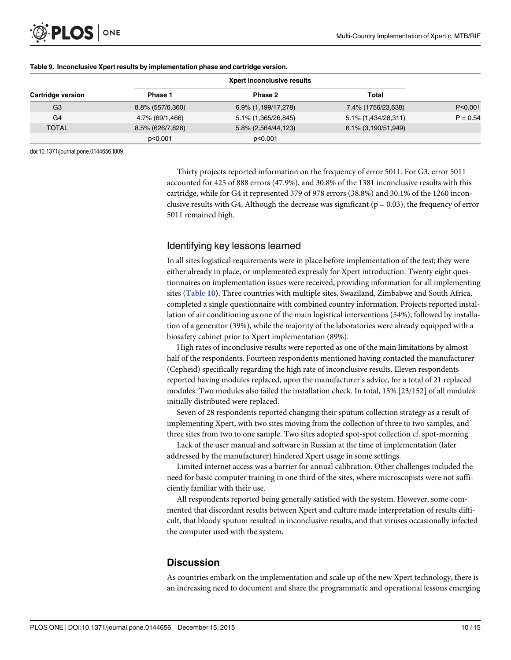<span id="page-9-0"></span>

|                          | Xpert inconclusive results |                     |                     |            |  |
|--------------------------|----------------------------|---------------------|---------------------|------------|--|
| <b>Cartridge version</b> | Phase 1                    | Phase 2             | Total               |            |  |
| G <sub>3</sub>           | 8.8% (557/6,360)           | 6.9% (1,199/17,278) | 7.4% (1756/23,638)  | P < 0.001  |  |
| G <sub>4</sub>           | 4.7% (69/1.466)            | 5.1% (1,365/26,845) | 5.1% (1,434/28,311) | $P = 0.54$ |  |
| <b>TOTAL</b>             | 8.5% (626/7,826)           | 5.8% (2,564/44,123) | 6.1% (3,190/51,949) |            |  |
|                          | p<0.001                    | p<0.001             |                     |            |  |

#### [Table 9.](#page-8-0) Inconclusive Xpert results by implementation phase and cartridge version.

doi:10.1371/journal.pone.0144656.t009

Thirty projects reported information on the frequency of error 5011. For G3, error 5011 accounted for 425 of 888 errors (47.9%), and 30.8% of the 1381 inconclusive results with this cartridge, while for G4 it represented 379 of 978 errors (38.8%) and 30.1% of the 1260 inconclusive results with G4. Although the decrease was significant ( $p = 0.03$ ), the frequency of error 5011 remained high.

# Identifying key lessons learned

In all sites logistical requirements were in place before implementation of the test; they were either already in place, or implemented expressly for Xpert introduction. Twenty eight questionnaires on implementation issues were received, providing information for all implementing sites ([Table 10](#page-10-0)). Three countries with multiple sites, Swaziland, Zimbabwe and South Africa, completed a single questionnaire with combined country information. Projects reported installation of air conditioning as one of the main logistical interventions (54%), followed by installation of a generator (39%), while the majority of the laboratories were already equipped with a biosafety cabinet prior to Xpert implementation (89%).

High rates of inconclusive results were reported as one of the main limitations by almost half of the respondents. Fourteen respondents mentioned having contacted the manufacturer (Cepheid) specifically regarding the high rate of inconclusive results. Eleven respondents reported having modules replaced, upon the manufacturer's advice, for a total of 21 replaced modules. Two modules also failed the installation check. In total, 15% [23/152] of all modules initially distributed were replaced.

Seven of 28 respondents reported changing their sputum collection strategy as a result of implementing Xpert, with two sites moving from the collection of three to two samples, and three sites from two to one sample. Two sites adopted spot-spot collection cf. spot-morning.

Lack of the user manual and software in Russian at the time of implementation (later addressed by the manufacturer) hindered Xpert usage in some settings.

Limited internet access was a barrier for annual calibration. Other challenges included the need for basic computer training in one third of the sites, where microscopists were not sufficiently familiar with their use.

All respondents reported being generally satisfied with the system. However, some commented that discordant results between Xpert and culture made interpretation of results difficult, that bloody sputum resulted in inconclusive results, and that viruses occasionally infected the computer used with the system.

# **Discussion**

As countries embark on the implementation and scale up of the new Xpert technology, there is an increasing need to document and share the programmatic and operational lessons emerging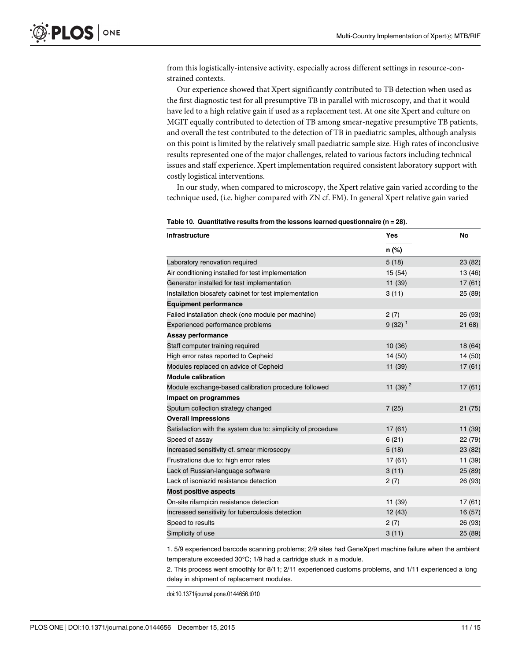<span id="page-10-0"></span>from this logistically-intensive activity, especially across different settings in resource-constrained contexts.

Our experience showed that Xpert significantly contributed to TB detection when used as the first diagnostic test for all presumptive TB in parallel with microscopy, and that it would have led to a high relative gain if used as a replacement test. At one site Xpert and culture on MGIT equally contributed to detection of TB among smear-negative presumptive TB patients, and overall the test contributed to the detection of TB in paediatric samples, although analysis on this point is limited by the relatively small paediatric sample size. High rates of inconclusive results represented one of the major challenges, related to various factors including technical issues and staff experience. Xpert implementation required consistent laboratory support with costly logistical interventions.

In our study, when compared to microscopy, the Xpert relative gain varied according to the technique used, (i.e. higher compared with ZN cf. FM). In general Xpert relative gain varied

[Table 10.](#page-9-0) Quantitative results from the lessons learned questionnaire (n = 28).

| <b>Infrastructure</b>                                        | <b>Yes</b>  | No      |
|--------------------------------------------------------------|-------------|---------|
|                                                              | n (%)       |         |
| Laboratory renovation required                               | 5(18)       | 23 (82) |
| Air conditioning installed for test implementation           | 15 (54)     | 13 (46) |
| Generator installed for test implementation                  | 11(39)      | 17(61)  |
| Installation biosafety cabinet for test implementation       | 3(11)       | 25 (89) |
| <b>Equipment performance</b>                                 |             |         |
| Failed installation check (one module per machine)           | 2(7)        | 26 (93) |
| Experienced performance problems                             | $9(32)^1$   | 2168    |
| <b>Assay performance</b>                                     |             |         |
| Staff computer training required                             | 10(36)      | 18 (64) |
| High error rates reported to Cepheid                         | 14 (50)     | 14 (50) |
| Modules replaced on advice of Cepheid                        | 11 (39)     | 17(61)  |
| <b>Module calibration</b>                                    |             |         |
| Module exchange-based calibration procedure followed         | 11 (39) $2$ | 17(61)  |
| Impact on programmes                                         |             |         |
| Sputum collection strategy changed                           | 7(25)       | 21 (75) |
| <b>Overall impressions</b>                                   |             |         |
| Satisfaction with the system due to: simplicity of procedure | 17(61)      | 11 (39) |
| Speed of assay                                               | 6(21)       | 22 (79) |
| Increased sensitivity cf. smear microscopy                   | 5(18)       | 23 (82) |
| Frustrations due to: high error rates                        | 17(61)      | 11 (39) |
| Lack of Russian-language software                            | 3(11)       | 25 (89) |
| Lack of isoniazid resistance detection                       | 2(7)        | 26 (93) |
| <b>Most positive aspects</b>                                 |             |         |
| On-site rifampicin resistance detection                      | 11 (39)     | 17 (61) |
| Increased sensitivity for tuberculosis detection             | 12 (43)     | 16 (57) |
| Speed to results                                             | 2(7)        | 26 (93) |
| Simplicity of use                                            | 3(11)       | 25 (89) |

1. 5/9 experienced barcode scanning problems; 2/9 sites had GeneXpert machine failure when the ambient temperature exceeded 30°C; 1/9 had a cartridge stuck in a module.

2. This process went smoothly for 8/11; 2/11 experienced customs problems, and 1/11 experienced a long delay in shipment of replacement modules.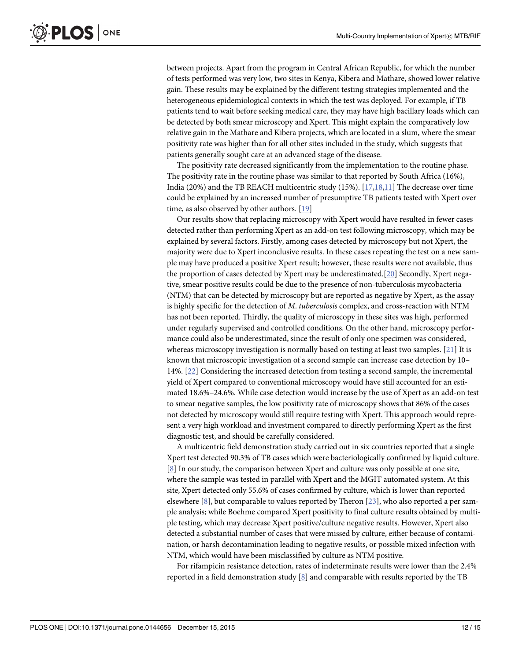<span id="page-11-0"></span>between projects. Apart from the program in Central African Republic, for which the number of tests performed was very low, two sites in Kenya, Kibera and Mathare, showed lower relative gain. These results may be explained by the different testing strategies implemented and the heterogeneous epidemiological contexts in which the test was deployed. For example, if TB patients tend to wait before seeking medical care, they may have high bacillary loads which can be detected by both smear microscopy and Xpert. This might explain the comparatively low relative gain in the Mathare and Kibera projects, which are located in a slum, where the smear positivity rate was higher than for all other sites included in the study, which suggests that patients generally sought care at an advanced stage of the disease.

The positivity rate decreased significantly from the implementation to the routine phase. The positivity rate in the routine phase was similar to that reported by South Africa (16%), India (20%) and the TB REACH multicentric study (15%). [\[17,18](#page-14-0),[11](#page-14-0)] The decrease over time could be explained by an increased number of presumptive TB patients tested with Xpert over time, as also observed by other authors. [\[19\]](#page-14-0)

Our results show that replacing microscopy with Xpert would have resulted in fewer cases detected rather than performing Xpert as an add-on test following microscopy, which may be explained by several factors. Firstly, among cases detected by microscopy but not Xpert, the majority were due to Xpert inconclusive results. In these cases repeating the test on a new sample may have produced a positive Xpert result; however, these results were not available, thus the proportion of cases detected by Xpert may be underestimated.[\[20\]](#page-14-0) Secondly, Xpert negative, smear positive results could be due to the presence of non-tuberculosis mycobacteria (NTM) that can be detected by microscopy but are reported as negative by Xpert, as the assay is highly specific for the detection of M. tuberculosis complex, and cross-reaction with NTM has not been reported. Thirdly, the quality of microscopy in these sites was high, performed under regularly supervised and controlled conditions. On the other hand, microscopy performance could also be underestimated, since the result of only one specimen was considered, whereas microscopy investigation is normally based on testing at least two samples. [[21](#page-14-0)] It is known that microscopic investigation of a second sample can increase case detection by 10– 14%. [[22\]](#page-14-0) Considering the increased detection from testing a second sample, the incremental yield of Xpert compared to conventional microscopy would have still accounted for an estimated 18.6%–24.6%. While case detection would increase by the use of Xpert as an add-on test to smear negative samples, the low positivity rate of microscopy shows that 86% of the cases not detected by microscopy would still require testing with Xpert. This approach would represent a very high workload and investment compared to directly performing Xpert as the first diagnostic test, and should be carefully considered.

A multicentric field demonstration study carried out in six countries reported that a single Xpert test detected 90.3% of TB cases which were bacteriologically confirmed by liquid culture. [\[8](#page-14-0)] In our study, the comparison between Xpert and culture was only possible at one site, where the sample was tested in parallel with Xpert and the MGIT automated system. At this site, Xpert detected only 55.6% of cases confirmed by culture, which is lower than reported elsewhere [\[8\]](#page-14-0), but comparable to values reported by Theron [\[23](#page-14-0)], who also reported a per sample analysis; while Boehme compared Xpert positivity to final culture results obtained by multiple testing, which may decrease Xpert positive/culture negative results. However, Xpert also detected a substantial number of cases that were missed by culture, either because of contamination, or harsh decontamination leading to negative results, or possible mixed infection with NTM, which would have been misclassified by culture as NTM positive.

For rifampicin resistance detection, rates of indeterminate results were lower than the 2.4% reported in a field demonstration study [[8\]](#page-14-0) and comparable with results reported by the TB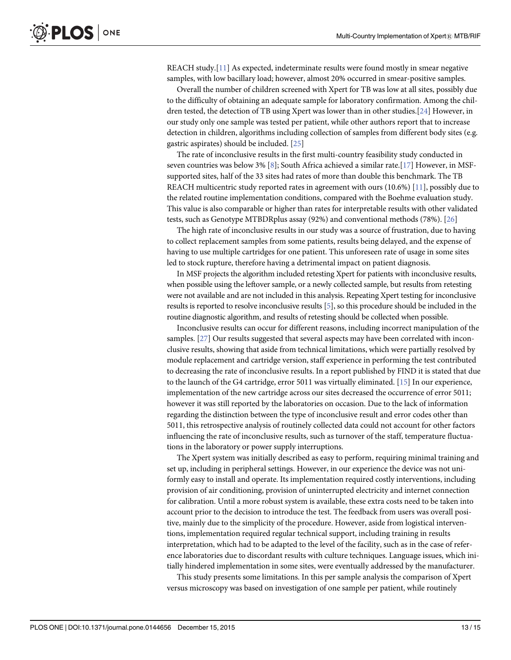<span id="page-12-0"></span>REACH study.[\[11\]](#page-14-0) As expected, indeterminate results were found mostly in smear negative samples, with low bacillary load; however, almost 20% occurred in smear-positive samples.

Overall the number of children screened with Xpert for TB was low at all sites, possibly due to the difficulty of obtaining an adequate sample for laboratory confirmation. Among the children tested, the detection of TB using Xpert was lower than in other studies.[\[24\]](#page-14-0) However, in our study only one sample was tested per patient, while other authors report that to increase detection in children, algorithms including collection of samples from different body sites (e.g. gastric aspirates) should be included. [\[25](#page-14-0)]

The rate of inconclusive results in the first multi-country feasibility study conducted in seven countries was below 3% [[8\]](#page-14-0); South Africa achieved a similar rate.[[17](#page-14-0)] However, in MSFsupported sites, half of the 33 sites had rates of more than double this benchmark. The TB REACH multicentric study reported rates in agreement with ours  $(10.6%)$  [[11](#page-14-0)], possibly due to the related routine implementation conditions, compared with the Boehme evaluation study. This value is also comparable or higher than rates for interpretable results with other validated tests, such as Genotype MTBDRplus assay (92%) and conventional methods (78%). [\[26\]](#page-14-0)

The high rate of inconclusive results in our study was a source of frustration, due to having to collect replacement samples from some patients, results being delayed, and the expense of having to use multiple cartridges for one patient. This unforeseen rate of usage in some sites led to stock rupture, therefore having a detrimental impact on patient diagnosis.

In MSF projects the algorithm included retesting Xpert for patients with inconclusive results, when possible using the leftover sample, or a newly collected sample, but results from retesting were not available and are not included in this analysis. Repeating Xpert testing for inconclusive results is reported to resolve inconclusive results [[5](#page-13-0)], so this procedure should be included in the routine diagnostic algorithm, and results of retesting should be collected when possible.

Inconclusive results can occur for different reasons, including incorrect manipulation of the samples. [[27](#page-14-0)] Our results suggested that several aspects may have been correlated with inconclusive results, showing that aside from technical limitations, which were partially resolved by module replacement and cartridge version, staff experience in performing the test contributed to decreasing the rate of inconclusive results. In a report published by FIND it is stated that due to the launch of the G4 cartridge, error 5011 was virtually eliminated. [[15\]](#page-14-0) In our experience, implementation of the new cartridge across our sites decreased the occurrence of error 5011; however it was still reported by the laboratories on occasion. Due to the lack of information regarding the distinction between the type of inconclusive result and error codes other than 5011, this retrospective analysis of routinely collected data could not account for other factors influencing the rate of inconclusive results, such as turnover of the staff, temperature fluctuations in the laboratory or power supply interruptions.

The Xpert system was initially described as easy to perform, requiring minimal training and set up, including in peripheral settings. However, in our experience the device was not uniformly easy to install and operate. Its implementation required costly interventions, including provision of air conditioning, provision of uninterrupted electricity and internet connection for calibration. Until a more robust system is available, these extra costs need to be taken into account prior to the decision to introduce the test. The feedback from users was overall positive, mainly due to the simplicity of the procedure. However, aside from logistical interventions, implementation required regular technical support, including training in results interpretation, which had to be adapted to the level of the facility, such as in the case of reference laboratories due to discordant results with culture techniques. Language issues, which initially hindered implementation in some sites, were eventually addressed by the manufacturer.

This study presents some limitations. In this per sample analysis the comparison of Xpert versus microscopy was based on investigation of one sample per patient, while routinely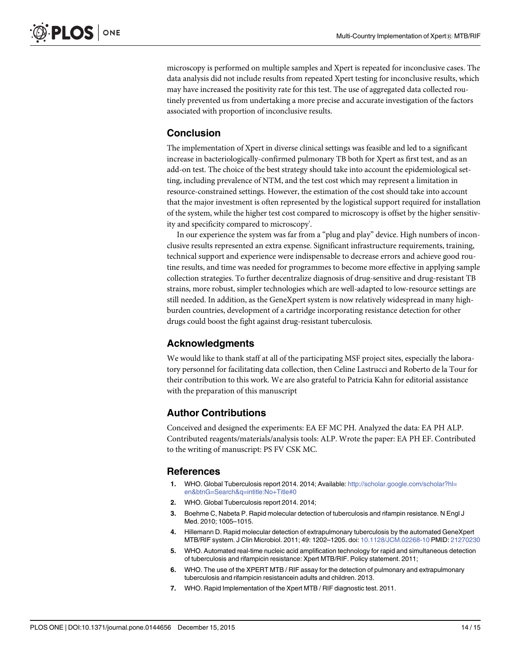<span id="page-13-0"></span>microscopy is performed on multiple samples and Xpert is repeated for inconclusive cases. The data analysis did not include results from repeated Xpert testing for inconclusive results, which may have increased the positivity rate for this test. The use of aggregated data collected routinely prevented us from undertaking a more precise and accurate investigation of the factors associated with proportion of inconclusive results.

# **Conclusion**

The implementation of Xpert in diverse clinical settings was feasible and led to a significant increase in bacteriologically-confirmed pulmonary TB both for Xpert as first test, and as an add-on test. The choice of the best strategy should take into account the epidemiological setting, including prevalence of NTM, and the test cost which may represent a limitation in resource-constrained settings. However, the estimation of the cost should take into account that the major investment is often represented by the logistical support required for installation of the system, while the higher test cost compared to microscopy is offset by the higher sensitivity and specificity compared to microscopy'.

In our experience the system was far from a "plug and play" device. High numbers of inconclusive results represented an extra expense. Significant infrastructure requirements, training, technical support and experience were indispensable to decrease errors and achieve good routine results, and time was needed for programmes to become more effective in applying sample collection strategies. To further decentralize diagnosis of drug-sensitive and drug-resistant TB strains, more robust, simpler technologies which are well-adapted to low-resource settings are still needed. In addition, as the GeneXpert system is now relatively widespread in many highburden countries, development of a cartridge incorporating resistance detection for other drugs could boost the fight against drug-resistant tuberculosis.

# Acknowledgments

We would like to thank staff at all of the participating MSF project sites, especially the laboratory personnel for facilitating data collection, then Celine Lastrucci and Roberto de la Tour for their contribution to this work. We are also grateful to Patricia Kahn for editorial assistance with the preparation of this manuscript

# Author Contributions

Conceived and designed the experiments: EA EF MC PH. Analyzed the data: EA PH ALP. Contributed reagents/materials/analysis tools: ALP. Wrote the paper: EA PH EF. Contributed to the writing of manuscript: PS FV CSK MC.

# References

- [1.](#page-1-0) WHO. Global Tuberculosis report 2014. 2014; Available: [http://scholar.google.com/scholar?hl=](http://scholar.google.com/scholar?hl=en&btnG=Search&q=intitle:No+Title#0) [en&btnG=Search&q=intitle:No+Title#0](http://scholar.google.com/scholar?hl=en&btnG=Search&q=intitle:No+Title#0)
- [2.](#page-1-0) WHO. Global Tuberculosis report 2014. 2014;
- [3.](#page-1-0) Boehme C, Nabeta P. Rapid molecular detection of tuberculosis and rifampin resistance. N Engl J Med. 2010; 1005–1015.
- [4.](#page-1-0) Hillemann D. Rapid molecular detection of extrapulmonary tuberculosis by the automated GeneXpert MTB/RIF system. J Clin Microbiol. 2011; 49: 1202–1205. doi: [10.1128/JCM.02268-10](http://dx.doi.org/10.1128/JCM.02268-10) PMID: [21270230](http://www.ncbi.nlm.nih.gov/pubmed/21270230)
- [5.](#page-1-0) WHO. Automated real-time nucleic acid amplification technology for rapid and simultaneous detection of tuberculosis and rifampicin resistance: Xpert MTB/RIF. Policy statement. 2011;
- [6.](#page-1-0) WHO. The use of the XPERT MTB / RIF assay for the detection of pulmonary and extrapulmonary tuberculosis and rifampicin resistancein adults and children. 2013.
- [7.](#page-1-0) WHO. Rapid Implementation of the Xpert MTB / RIF diagnostic test. 2011.